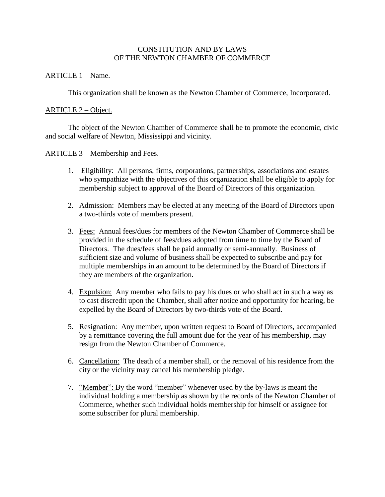## CONSTITUTION AND BY LAWS OF THE NEWTON CHAMBER OF COMMERCE

#### ARTICLE 1 – Name.

This organization shall be known as the Newton Chamber of Commerce, Incorporated.

## ARTICLE 2 – Object.

The object of the Newton Chamber of Commerce shall be to promote the economic, civic and social welfare of Newton, Mississippi and vicinity.

## ARTICLE 3 – Membership and Fees.

- 1. Eligibility: All persons, firms, corporations, partnerships, associations and estates who sympathize with the objectives of this organization shall be eligible to apply for membership subject to approval of the Board of Directors of this organization.
- 2. Admission: Members may be elected at any meeting of the Board of Directors upon a two-thirds vote of members present.
- 3. Fees: Annual fees/dues for members of the Newton Chamber of Commerce shall be provided in the schedule of fees/dues adopted from time to time by the Board of Directors. The dues/fees shall be paid annually or semi-annually. Business of sufficient size and volume of business shall be expected to subscribe and pay for multiple memberships in an amount to be determined by the Board of Directors if they are members of the organization.
- 4. Expulsion: Any member who fails to pay his dues or who shall act in such a way as to cast discredit upon the Chamber, shall after notice and opportunity for hearing, be expelled by the Board of Directors by two-thirds vote of the Board.
- 5. Resignation: Any member, upon written request to Board of Directors, accompanied by a remittance covering the full amount due for the year of his membership, may resign from the Newton Chamber of Commerce.
- 6. Cancellation: The death of a member shall, or the removal of his residence from the city or the vicinity may cancel his membership pledge.
- 7. "Member": By the word "member" whenever used by the by-laws is meant the individual holding a membership as shown by the records of the Newton Chamber of Commerce, whether such individual holds membership for himself or assignee for some subscriber for plural membership.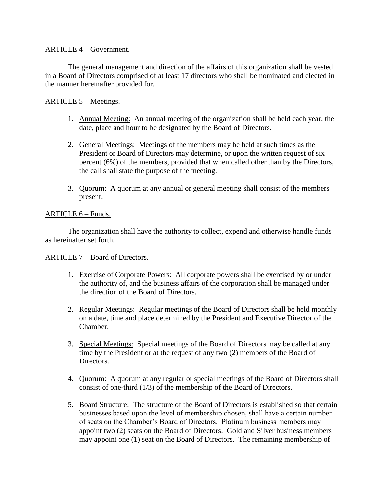## ARTICLE 4 – Government.

The general management and direction of the affairs of this organization shall be vested in a Board of Directors comprised of at least 17 directors who shall be nominated and elected in the manner hereinafter provided for.

# ARTICLE 5 – Meetings.

- 1. Annual Meeting: An annual meeting of the organization shall be held each year, the date, place and hour to be designated by the Board of Directors.
- 2. General Meetings: Meetings of the members may be held at such times as the President or Board of Directors may determine, or upon the written request of six percent (6%) of the members, provided that when called other than by the Directors, the call shall state the purpose of the meeting.
- 3. Quorum: A quorum at any annual or general meeting shall consist of the members present.

## ARTICLE 6 – Funds.

The organization shall have the authority to collect, expend and otherwise handle funds as hereinafter set forth.

#### ARTICLE 7 – Board of Directors.

- 1. Exercise of Corporate Powers: All corporate powers shall be exercised by or under the authority of, and the business affairs of the corporation shall be managed under the direction of the Board of Directors.
- 2. Regular Meetings: Regular meetings of the Board of Directors shall be held monthly on a date, time and place determined by the President and Executive Director of the Chamber.
- 3. Special Meetings: Special meetings of the Board of Directors may be called at any time by the President or at the request of any two (2) members of the Board of Directors.
- 4. Quorum: A quorum at any regular or special meetings of the Board of Directors shall consist of one-third (1/3) of the membership of the Board of Directors.
- 5. Board Structure: The structure of the Board of Directors is established so that certain businesses based upon the level of membership chosen, shall have a certain number of seats on the Chamber's Board of Directors. Platinum business members may appoint two (2) seats on the Board of Directors. Gold and Silver business members may appoint one (1) seat on the Board of Directors. The remaining membership of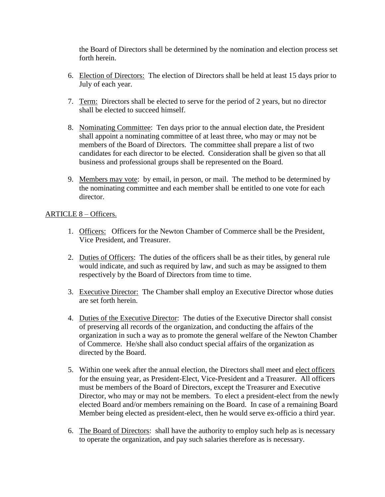the Board of Directors shall be determined by the nomination and election process set forth herein.

- 6. Election of Directors: The election of Directors shall be held at least 15 days prior to July of each year.
- 7. Term: Directors shall be elected to serve for the period of 2 years, but no director shall be elected to succeed himself.
- 8. Nominating Committee: Ten days prior to the annual election date, the President shall appoint a nominating committee of at least three, who may or may not be members of the Board of Directors. The committee shall prepare a list of two candidates for each director to be elected. Consideration shall be given so that all business and professional groups shall be represented on the Board.
- 9. Members may vote: by email, in person, or mail. The method to be determined by the nominating committee and each member shall be entitled to one vote for each director.

## ARTICLE 8 – Officers.

- 1. Officers: Officers for the Newton Chamber of Commerce shall be the President, Vice President, and Treasurer.
- 2. Duties of Officers: The duties of the officers shall be as their titles, by general rule would indicate, and such as required by law, and such as may be assigned to them respectively by the Board of Directors from time to time.
- 3. Executive Director: The Chamber shall employ an Executive Director whose duties are set forth herein.
- 4. Duties of the Executive Director: The duties of the Executive Director shall consist of preserving all records of the organization, and conducting the affairs of the organization in such a way as to promote the general welfare of the Newton Chamber of Commerce. He/she shall also conduct special affairs of the organization as directed by the Board.
- 5. Within one week after the annual election, the Directors shall meet and elect officers for the ensuing year, as President-Elect, Vice-President and a Treasurer. All officers must be members of the Board of Directors, except the Treasurer and Executive Director, who may or may not be members. To elect a president-elect from the newly elected Board and/or members remaining on the Board. In case of a remaining Board Member being elected as president-elect, then he would serve ex-officio a third year.
- 6. The Board of Directors: shall have the authority to employ such help as is necessary to operate the organization, and pay such salaries therefore as is necessary.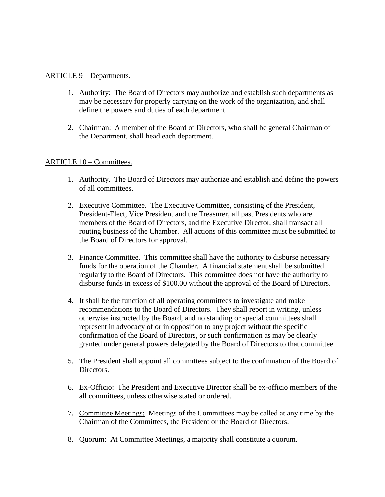#### ARTICLE 9 – Departments.

- 1. Authority: The Board of Directors may authorize and establish such departments as may be necessary for properly carrying on the work of the organization, and shall define the powers and duties of each department.
- 2. Chairman: A member of the Board of Directors, who shall be general Chairman of the Department, shall head each department.

## ARTICLE 10 – Committees.

- 1. Authority. The Board of Directors may authorize and establish and define the powers of all committees.
- 2. Executive Committee. The Executive Committee, consisting of the President, President-Elect, Vice President and the Treasurer, all past Presidents who are members of the Board of Directors, and the Executive Director, shall transact all routing business of the Chamber. All actions of this committee must be submitted to the Board of Directors for approval.
- 3. Finance Committee. This committee shall have the authority to disburse necessary funds for the operation of the Chamber. A financial statement shall be submitted regularly to the Board of Directors. This committee does not have the authority to disburse funds in excess of \$100.00 without the approval of the Board of Directors.
- 4. It shall be the function of all operating committees to investigate and make recommendations to the Board of Directors. They shall report in writing, unless otherwise instructed by the Board, and no standing or special committees shall represent in advocacy of or in opposition to any project without the specific confirmation of the Board of Directors, or such confirmation as may be clearly granted under general powers delegated by the Board of Directors to that committee.
- 5. The President shall appoint all committees subject to the confirmation of the Board of Directors.
- 6. Ex-Officio: The President and Executive Director shall be ex-officio members of the all committees, unless otherwise stated or ordered.
- 7. Committee Meetings: Meetings of the Committees may be called at any time by the Chairman of the Committees, the President or the Board of Directors.
- 8. Quorum: At Committee Meetings, a majority shall constitute a quorum.